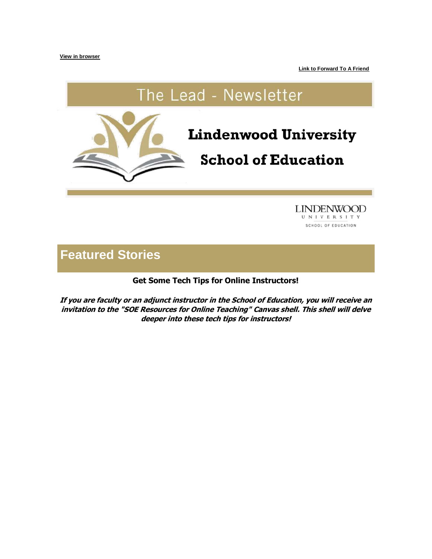**[View in browser](https://hes32-ctp.trendmicro.com/wis/clicktime/v1/query?url=https%3a%2f%2fcustapp.marketvolt.com%2flink%2fLnFembXiAX%3fCM%3d1523774784%26X%3d70525052&umid=a7061249-63b6-4703-a150-ceb5a853ea13&auth=bc7ac43e330fa629f0cfb11786c85e83c10d06b8-5d108adef206af52b1c2fcb1e0d1815c98b15912)**

**[Link to Forward To A Friend](https://hes32-ctp.trendmicro.com/wis/clicktime/v1/query?url=https%3a%2f%2fcustapp.marketvolt.com%2flink%2fGnBaCEvF2p%3fCM%3d1523774784%26X%3d70525052&umid=a7061249-63b6-4703-a150-ceb5a853ea13&auth=bc7ac43e330fa629f0cfb11786c85e83c10d06b8-780b6cbcab26764b940a38f3d8889ee60256eabe)**

# The Lead - Newsletter



**LINDENWOOD** UNIVERSITY SCHOOL OF EDUCATION

# **Featured Stories**

**Get Some Tech Tips for Online Instructors!**

**If you are faculty or an adjunct instructor in the School of Education, you will receive an invitation to the "SOE Resources for Online Teaching" Canvas shell. This shell will delve deeper into these tech tips for instructors!**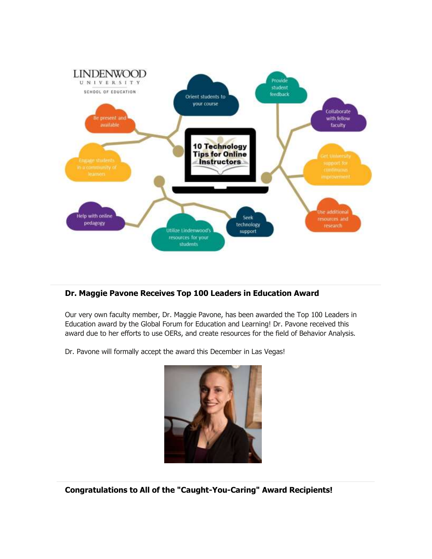

# **Dr. Maggie Pavone Receives Top 100 Leaders in Education Award**

Our very own faculty member, Dr. Maggie Pavone, has been awarded the Top 100 Leaders in Education award by the Global Forum for Education and Learning! Dr. Pavone received this award due to her efforts to use OERs, and create resources for the field of Behavior Analysis.

Dr. Pavone will formally accept the award this December in Las Vegas!



**Congratulations to All of the "Caught-You-Caring" Award Recipients!**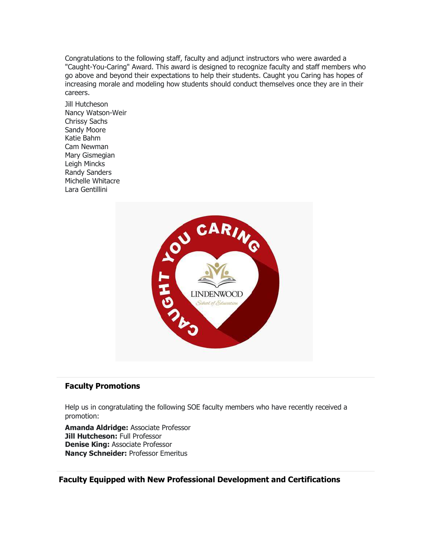Congratulations to the following staff, faculty and adjunct instructors who were awarded a "Caught-You-Caring" Award. This award is designed to recognize faculty and staff members who go above and beyond their expectations to help their students. Caught you Caring has hopes of increasing morale and modeling how students should conduct themselves once they are in their careers.

Jill Hutcheson Nancy Watson-Weir Chrissy Sachs Sandy Moore Katie Bahm Cam Newman Mary Gismegian Leigh Mincks Randy Sanders Michelle Whitacre Lara Gentillini



#### **Faculty Promotions**

Help us in congratulating the following SOE faculty members who have recently received a promotion:

**Amanda Aldridge:** Associate Professor **Jill Hutcheson:** Full Professor **Denise King:** Associate Professor **Nancy Schneider:** Professor Emeritus

### **Faculty Equipped with New Professional Development and Certifications**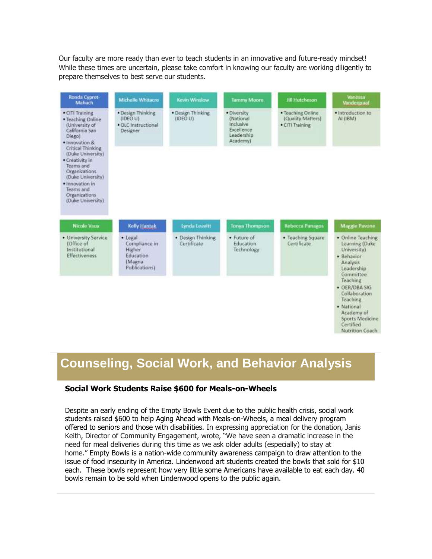Our faculty are more ready than ever to teach students in an innovative and future-ready mindset! While these times are uncertain, please take comfort in knowing our faculty are working diligently to prepare themselves to best serve our students.

| Ronda Cypret<br>Mahach                                                                                                                                                                                                                                                                     | Michelle Whitacre                                                           | Kevin Winslow                    | <b>Tammy Moore</b>                                                            | <b>fill Hutcheson</b>                                     | Vanessa<br>Vandergraaf                                                                                             |
|--------------------------------------------------------------------------------------------------------------------------------------------------------------------------------------------------------------------------------------------------------------------------------------------|-----------------------------------------------------------------------------|----------------------------------|-------------------------------------------------------------------------------|-----------------------------------------------------------|--------------------------------------------------------------------------------------------------------------------|
| · CITI Training<br>· Teaching Online<br>(University of<br>California San<br>Diego)<br>· Innovation &<br>Critical Thinking<br>(Duke University)<br>· Creativity in<br>Teams and<br>Organizations<br>(Duke University)<br>· Innovation in<br>Teams and<br>Organizations<br>(Duke University) | · Design Thinking<br>(IDEO U)<br>· OLC Instructional<br>Designer            | · Design Thinking<br>(IDEO U)    | · Diversity<br>(National<br>Inclusive<br>Excellence<br>Leadership<br>Academy) | · Teaching Online<br>(Quality Matters)<br>· CITI Training | · Introduction to<br>AI (IBM)                                                                                      |
| Nicole Vaux                                                                                                                                                                                                                                                                                | Kelly Hantak                                                                | Lynda Leavitt                    | <b>Tonya Thompson</b>                                                         | <b>Rebecca Panagos</b>                                    | <b>Maggie Pavone</b>                                                                                               |
| · University Service<br>(Office of<br>Institutional<br><b>Effectiveness</b>                                                                                                                                                                                                                | · Legal<br>Compliance in<br>Higher<br>Education<br>(Magna)<br>Publications) | · Design Thinking<br>Certificate | · Future of<br>Education<br>Technology                                        | · Teaching Square<br>Certificate                          | · Online Teaching<br>Learning (Duke<br>University)<br>· Behavior<br>Analysis<br>Leadership<br>Committee            |
|                                                                                                                                                                                                                                                                                            |                                                                             |                                  |                                                                               |                                                           | Teaching<br>· OER/DBA SIG<br>Collaboration<br>Teaching<br>· National<br>Academy of<br>Sports Medicine<br>Certified |

# **Counseling, Social Work, and Behavior Analysis**

Nutrition Coach

#### **Social Work Students Raise \$600 for Meals-on-Wheels**

Despite an early ending of the Empty Bowls Event due to the public health crisis, social work students raised \$600 to help Aging Ahead with Meals-on-Wheels, a meal delivery program offered to seniors and those with disabilities. In expressing appreciation for the donation, Janis Keith, Director of Community Engagement, wrote, "We have seen a dramatic increase in the need for meal deliveries during this time as we ask older adults (especially) to stay at home." Empty Bowls is a nation-wide community awareness campaign to draw attention to the issue of food insecurity in America. Lindenwood art students created the bowls that sold for \$10 each. These bowls represent how very little some Americans have available to eat each day. 40 bowls remain to be sold when Lindenwood opens to the public again.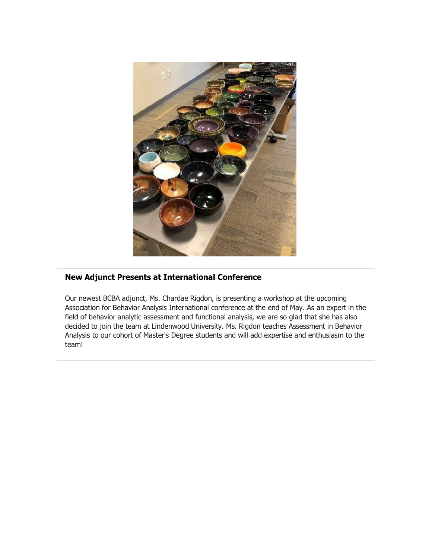

# **New Adjunct Presents at International Conference**

Our newest BCBA adjunct, Ms. Chardae Rigdon, is presenting a workshop at the upcoming Association for Behavior Analysis International conference at the end of May. As an expert in the field of behavior analytic assessment and functional analysis, we are so glad that she has also decided to join the team at Lindenwood University. Ms. Rigdon teaches Assessment in Behavior Analysis to our cohort of Master's Degree students and will add expertise and enthusiasm to the team!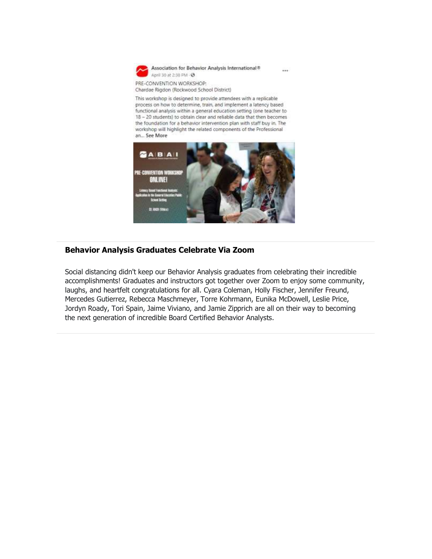

Association for Behavior Analysis International® April 30 at 2:38 PM - @

 $\sim$ 

PRE-CONVENTION WORKSHOP: Chardae Rigdon (Rockwood School District)

This workshop is designed to provide attendees with a replicable process on how to determine, train, and implement a latency based functional analysis within a general education setting (one teacher to 18 - 20 students) to obtain clear and reliable data that then becomes the foundation for a behavior intervention plan with staff buy in. The workshop will highlight the related components of the Professional an... See More



#### **Behavior Analysis Graduates Celebrate Via Zoom**

Social distancing didn't keep our Behavior Analysis graduates from celebrating their incredible accomplishments! Graduates and instructors got together over Zoom to enjoy some community, laughs, and heartfelt congratulations for all. Cyara Coleman, Holly Fischer, Jennifer Freund, Mercedes Gutierrez, Rebecca Maschmeyer, Torre Kohrmann, Eunika McDowell, Leslie Price, Jordyn Roady, Tori Spain, Jaime Viviano, and Jamie Zipprich are all on their way to becoming the next generation of incredible Board Certified Behavior Analysts.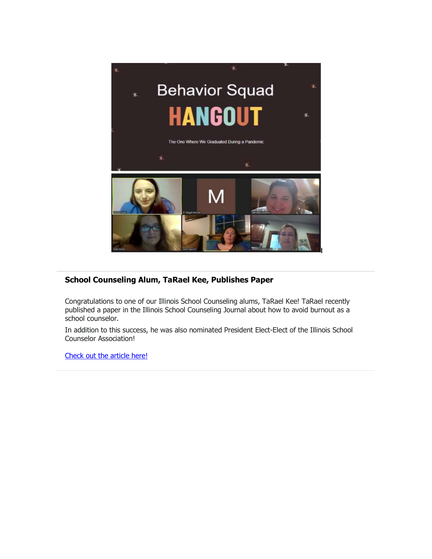

# **School Counseling Alum, TaRael Kee, Publishes Paper**

Congratulations to one of our Illinois School Counseling alums, TaRael Kee! TaRael recently published a paper in the Illinois School Counseling Journal about how to avoid burnout as a school counselor.

In addition to this success, he was also nominated President Elect-Elect of the Illinois School Counselor Association!

[Check out the article here!](https://hes32-ctp.trendmicro.com/wis/clicktime/v1/query?url=https%3a%2f%2fcustapp.marketvolt.com%2flink%2fcWr4fp7dHS%3fCM%3d1523774784%26X%3d70525052&umid=a7061249-63b6-4703-a150-ceb5a853ea13&auth=bc7ac43e330fa629f0cfb11786c85e83c10d06b8-7e1a5c607e8f80de5afabbe089852942239520ba)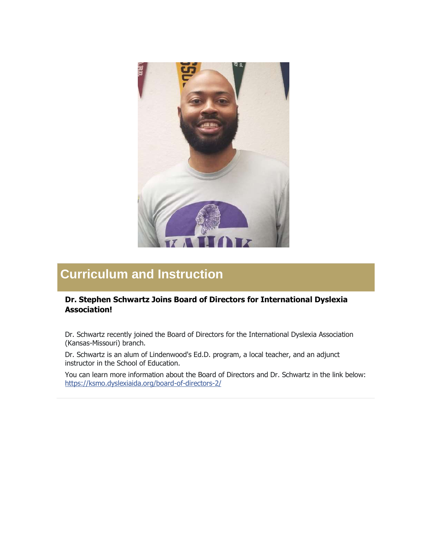

# **Curriculum and Instruction**

### **Dr. Stephen Schwartz Joins Board of Directors for International Dyslexia Association!**

Dr. Schwartz recently joined the Board of Directors for the International Dyslexia Association (Kansas-Missouri) branch.

Dr. Schwartz is an alum of Lindenwood's Ed.D. program, a local teacher, and an adjunct instructor in the School of Education.

You can learn more information about the Board of Directors and Dr. Schwartz in the link below: [https://ksmo.dyslexiaida.org/board-of-directors-2/](https://hes32-ctp.trendmicro.com/wis/clicktime/v1/query?url=https%3a%2f%2fcustapp.marketvolt.com%2flink%2fXHnYV4sqH3%3fCM%3d1523774784%26X%3d70525052&umid=a7061249-63b6-4703-a150-ceb5a853ea13&auth=bc7ac43e330fa629f0cfb11786c85e83c10d06b8-2562f92297e8546c21eb82195abcd285fc0b8113)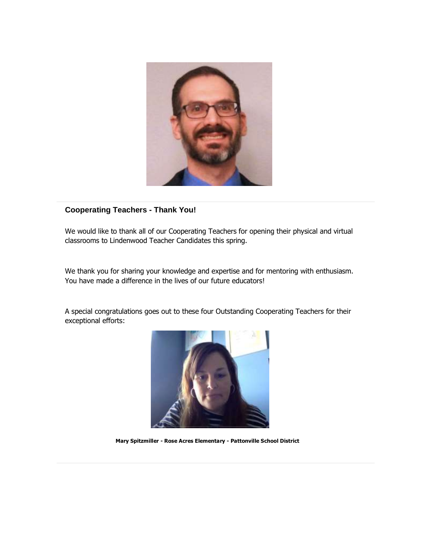

#### **Cooperating Teachers - Thank You!**

We would like to thank all of our Cooperating Teachers for opening their physical and virtual classrooms to Lindenwood Teacher Candidates this spring.

We thank you for sharing your knowledge and expertise and for mentoring with enthusiasm. You have made a difference in the lives of our future educators!

A special congratulations goes out to these four Outstanding Cooperating Teachers for their exceptional efforts:



**Mary Spitzmiller - Rose Acres Elementary - Pattonville School District**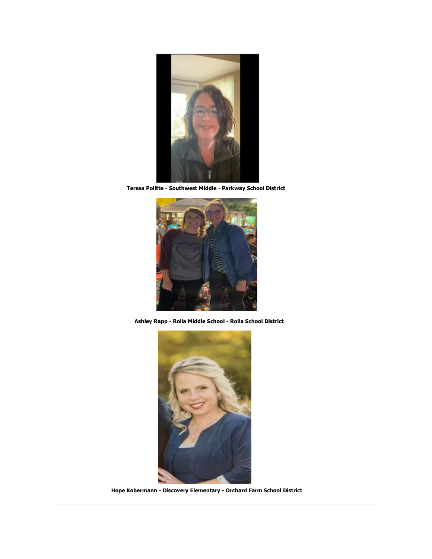

**Teresa Politte - Southwest Middle - Parkway School District**



**Ashley Rapp - Rolla Middle School - Rolla School District**



**Hope Kobermann - Discovery Elementary - Orchard Farm School District**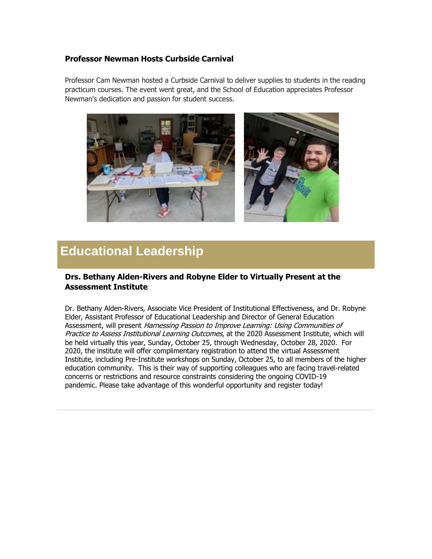#### **Professor Newman Hosts Curbside Carnival**

Professor Cam Newman hosted a Curbside Carnival to deliver supplies to students in the reading practicum courses. The event went great, and the School of Education appreciates Professor Newman's dedication and passion for student success.



# **Educational Leadership**

#### **Drs. Bethany Alden-Rivers and Robyne Elder to Virtually Present at the Assessment Institute**

Dr. Bethany Alden-Rivers, Associate Vice President of Institutional Effectiveness, and Dr. Robyne Elder, Assistant Professor of Educational Leadership and Director of General Education Assessment, will present Harnessing Passion to Improve Learning: Using Communities of Practice to Assess Institutional Learning Outcomes, at the 2020 Assessment Institute, which will be held virtually this year, Sunday, October 25, through Wednesday, October 28, 2020. For 2020, the institute will offer complimentary registration to attend the virtual Assessment Institute, including Pre-Institute workshops on Sunday, October 25, to all members of the higher education community. This is their way of supporting colleagues who are facing travel-related concerns or restrictions and resource constraints considering the ongoing COVID-19 pandemic. Please take advantage of this wonderful opportunity and register today!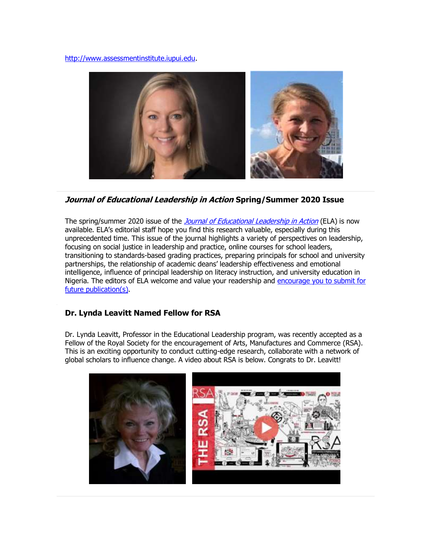[http://www.assessmentinstitute.iupui.edu.](https://hes32-ctp.trendmicro.com/wis/clicktime/v1/query?url=https%3a%2f%2fcustapp.marketvolt.com%2flink%2f1XlfV8Wd5h%3fCM%3d1523774784%26X%3d70525052&umid=a7061249-63b6-4703-a150-ceb5a853ea13&auth=bc7ac43e330fa629f0cfb11786c85e83c10d06b8-e0d032d0ce611258bdc766f5d134db785218c7a5)



#### **Journal of Educational Leadership in Action Spring/Summer 2020 Issue**

The spring/summer 2020 issue of the *[Journal of Educational Leadership in Action](https://hes32-ctp.trendmicro.com/wis/clicktime/v1/query?url=https%3a%2f%2fcustapp.marketvolt.com%2flink%2fmgxeL4WPUY%3fCM%3d1523774784%26X%3d70525052&umid=a7061249-63b6-4703-a150-ceb5a853ea13&auth=bc7ac43e330fa629f0cfb11786c85e83c10d06b8-e7f89850ef28e6810c2a544b582218ebe8f1ee00)* (ELA) is now available. ELA's editorial staff hope you find this research valuable, especially during this unprecedented time. This issue of the journal highlights a variety of perspectives on leadership, focusing on social justice in leadership and practice, online courses for school leaders, transitioning to standards-based grading practices, preparing principals for school and university partnerships, the relationship of academic deans' leadership effectiveness and emotional intelligence, influence of principal leadership on literacy instruction, and university education in Nigeria. The editors of ELA welcome and value your readership and [encourage you to submit for](https://hes32-ctp.trendmicro.com/wis/clicktime/v1/query?url=https%3a%2f%2fcustapp.marketvolt.com%2flink%2fayAy5eeMQN%3fCM%3d1523774784%26X%3d70525052&umid=a7061249-63b6-4703-a150-ceb5a853ea13&auth=bc7ac43e330fa629f0cfb11786c85e83c10d06b8-d431f8dd9b0fa28884d0f2d557e87dd995750dae)  [future publication\(s\).](https://hes32-ctp.trendmicro.com/wis/clicktime/v1/query?url=https%3a%2f%2fcustapp.marketvolt.com%2flink%2fayAy5eeMQN%3fCM%3d1523774784%26X%3d70525052&umid=a7061249-63b6-4703-a150-ceb5a853ea13&auth=bc7ac43e330fa629f0cfb11786c85e83c10d06b8-d431f8dd9b0fa28884d0f2d557e87dd995750dae)

#### **Dr. Lynda Leavitt Named Fellow for RSA**

Dr. Lynda Leavitt, Professor in the Educational Leadership program, was recently accepted as a Fellow of the Royal Society for the encouragement of Arts, Manufactures and Commerce (RSA). This is an exciting opportunity to conduct cutting-edge research, collaborate with a network of global scholars to influence change. A video about RSA is below. Congrats to Dr. Leavitt!

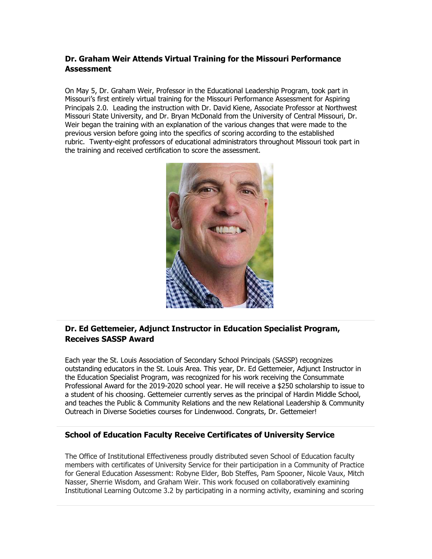### **Dr. Graham Weir Attends Virtual Training for the Missouri Performance Assessment**

On May 5, Dr. Graham Weir, Professor in the Educational Leadership Program, took part in Missouri's first entirely virtual training for the Missouri Performance Assessment for Aspiring Principals 2.0. Leading the instruction with Dr. David Kiene, Associate Professor at Northwest Missouri State University, and Dr. Bryan McDonald from the University of Central Missouri, Dr. Weir began the training with an explanation of the various changes that were made to the previous version before going into the specifics of scoring according to the established rubric. Twenty-eight professors of educational administrators throughout Missouri took part in the training and received certification to score the assessment.



## **Dr. Ed Gettemeier, Adjunct Instructor in Education Specialist Program, Receives SASSP Award**

Each year the St. Louis Association of Secondary School Principals (SASSP) recognizes outstanding educators in the St. Louis Area. This year, Dr. Ed Gettemeier, Adjunct Instructor in the Education Specialist Program, was recognized for his work receiving the Consummate Professional Award for the 2019-2020 school year. He will receive a \$250 scholarship to issue to a student of his choosing. Gettemeier currently serves as the principal of Hardin Middle School, and teaches the Public & Community Relations and the new Relational Leadership & Community Outreach in Diverse Societies courses for Lindenwood. Congrats, Dr. Gettemeier!

#### **School of Education Faculty Receive Certificates of University Service**

The Office of Institutional Effectiveness proudly distributed seven School of Education faculty members with certificates of University Service for their participation in a Community of Practice for General Education Assessment: Robyne Elder, Bob Steffes, Pam Spooner, Nicole Vaux, Mitch Nasser, Sherrie Wisdom, and Graham Weir. This work focused on collaboratively examining Institutional Learning Outcome 3.2 by participating in a norming activity, examining and scoring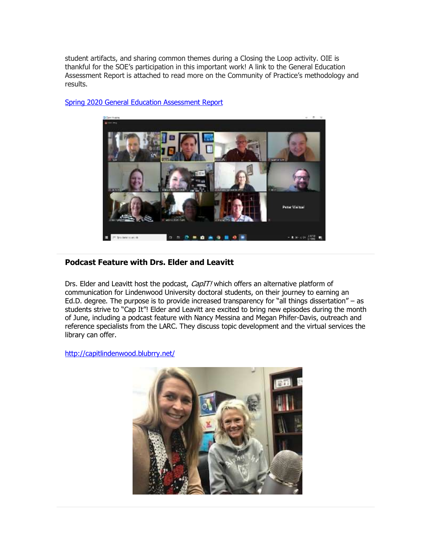student artifacts, and sharing common themes during a Closing the Loop activity. OIE is thankful for the SOE's participation in this important work! A link to the General Education Assessment Report is attached to read more on the Community of Practice's methodology and results.



[Spring 2020 General Education Assessment Report](https://hes32-ctp.trendmicro.com/wis/clicktime/v1/query?url=https%3a%2f%2fcustapp.marketvolt.com%2flink%2f8Lfwu4iDhk%3fCM%3d1523774784%26X%3d70525052&umid=a7061249-63b6-4703-a150-ceb5a853ea13&auth=bc7ac43e330fa629f0cfb11786c85e83c10d06b8-a020ddc60bb0b2a6ce6f1cdabdd3b7a934156d79)

#### **Podcast Feature with Drs. Elder and Leavitt**

Drs. Elder and Leavitt host the podcast, CapIT! which offers an alternative platform of communication for Lindenwood University doctoral students, on their journey to earning an Ed.D. degree. The purpose is to provide increased transparency for "all things dissertation" – as students strive to "Cap It"! Elder and Leavitt are excited to bring new episodes during the month of June, including a podcast feature with Nancy Messina and Megan Phifer-Davis, outreach and reference specialists from the LARC. They discuss topic development and the virtual services the library can offer.

[http://capitlindenwood.blubrry.net/](https://hes32-ctp.trendmicro.com/wis/clicktime/v1/query?url=https%3a%2f%2fcustapp.marketvolt.com%2flink%2f8MhGVaw4u5%3fCM%3d1523774784%26X%3d70525052&umid=a7061249-63b6-4703-a150-ceb5a853ea13&auth=bc7ac43e330fa629f0cfb11786c85e83c10d06b8-5952888d2a98ce3ff4d66917aff8360cf082e133)

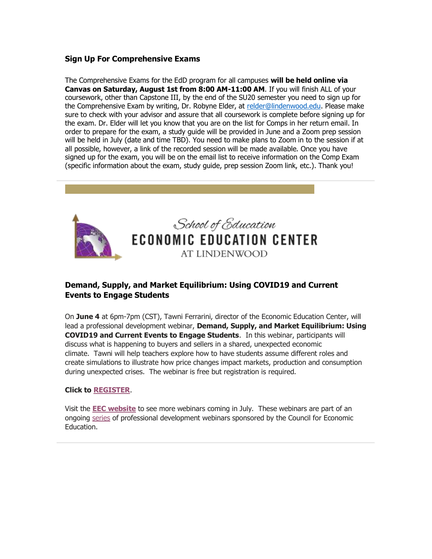#### **Sign Up For Comprehensive Exams**

The Comprehensive Exams for the EdD program for all campuses **will be held online via Canvas on Saturday, August 1st from 8:00 AM-11:00 AM**. If you will finish ALL of your coursework, other than Capstone III, by the end of the SU20 semester you need to sign up for the Comprehensive Exam by writing, Dr. Robyne Elder, at [relder@lindenwood.edu.](mailto:relder@lindenwood.edu) Please make sure to check with your advisor and assure that all coursework is complete before signing up for the exam. Dr. Elder will let you know that you are on the list for Comps in her return email. In order to prepare for the exam, a study guide will be provided in June and a Zoom prep session will be held in July (date and time TBD). You need to make plans to Zoom in to the session if at all possible, however, a link of the recorded session will be made available. Once you have signed up for the exam, you will be on the email list to receive information on the Comp Exam (specific information about the exam, study guide, prep session Zoom link, etc.). Thank you!



#### **Demand, Supply, and Market Equilibrium: Using COVID19 and Current Events to Engage Students**

On **June 4** at 6pm-7pm (CST), Tawni Ferrarini, director of the Economic Education Center, will lead a professional development webinar, **Demand, Supply, and Market Equilibrium: Using COVID19 and Current Events to Engage Students**. In this webinar, participants will discuss what is happening to buyers and sellers in a shared, unexpected economic climate. Tawni will help teachers explore how to have students assume different roles and create simulations to illustrate how price changes impact markets, production and consumption during unexpected crises. The webinar is free but registration is required.

#### **Click to [REGISTER](https://hes32-ctp.trendmicro.com/wis/clicktime/v1/query?url=https%3a%2f%2fcustapp.marketvolt.com%2flink%2fwPXXKSwoBv%3fCM%3d1523774784%26X%3d70525052&umid=a7061249-63b6-4703-a150-ceb5a853ea13&auth=bc7ac43e330fa629f0cfb11786c85e83c10d06b8-2630d4b35a2ba0e73939758b0df177d496b6ac23)**.

Visit the **EEC [website](https://hes32-ctp.trendmicro.com/wis/clicktime/v1/query?url=https%3a%2f%2fcustapp.marketvolt.com%2flink%2fgkVHfcFu7b%3fCM%3d1523774784%26X%3d70525052&umid=a7061249-63b6-4703-a150-ceb5a853ea13&auth=bc7ac43e330fa629f0cfb11786c85e83c10d06b8-287b858520d62cff9f2f1dc823d1aa9b78c23f42)** to see more webinars coming in July. These webinars are part of an ongoing [series](https://hes32-ctp.trendmicro.com/wis/clicktime/v1/query?url=https%3a%2f%2fcustapp.marketvolt.com%2flink%2fBD9IcKwqAv%3fCM%3d1523774784%26X%3d70525052&umid=a7061249-63b6-4703-a150-ceb5a853ea13&auth=bc7ac43e330fa629f0cfb11786c85e83c10d06b8-0d75ee714b9a302f5e691978574f79b8cf0c0a3c) of professional development webinars sponsored by the Council for Economic Education.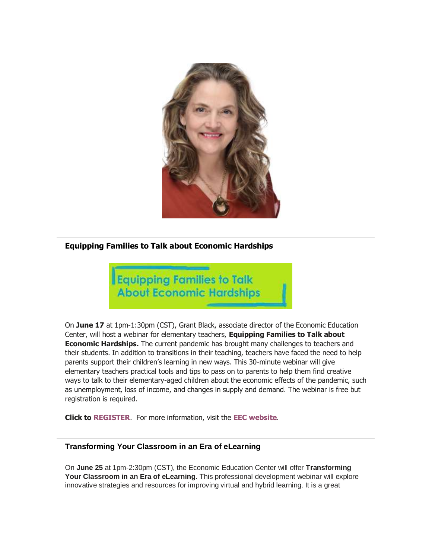

### **Equipping Families to Talk about Economic Hardships**



On **June 17** at 1pm-1:30pm (CST), Grant Black, associate director of the Economic Education Center, will host a webinar for elementary teachers, **Equipping Families to Talk about Economic Hardships.** The current pandemic has brought many challenges to teachers and their students. In addition to transitions in their teaching, teachers have faced the need to help parents support their children's learning in new ways. This 30-minute webinar will give elementary teachers practical tools and tips to pass on to parents to help them find creative ways to talk to their elementary-aged children about the economic effects of the pandemic, such as unemployment, loss of income, and changes in supply and demand. The webinar is free but registration is required.

**Click to [REGISTER](https://hes32-ctp.trendmicro.com/wis/clicktime/v1/query?url=https%3a%2f%2fcustapp.marketvolt.com%2flink%2fXfYDK74RCS%3fCM%3d1523774784%26X%3d70525052&umid=a7061249-63b6-4703-a150-ceb5a853ea13&auth=bc7ac43e330fa629f0cfb11786c85e83c10d06b8-79b0560b943236a12586d2466b97b0d0cb967773)**. For more information, visit the **EEC [website](https://hes32-ctp.trendmicro.com/wis/clicktime/v1/query?url=https%3a%2f%2fcustapp.marketvolt.com%2flink%2fgkVHfcFu7b%3fCM%3d1523774784%26X%3d70525052&umid=a7061249-63b6-4703-a150-ceb5a853ea13&auth=bc7ac43e330fa629f0cfb11786c85e83c10d06b8-287b858520d62cff9f2f1dc823d1aa9b78c23f42)**.

#### **Transforming Your Classroom in an Era of eLearning**

On **June 25** at 1pm-2:30pm (CST), the Economic Education Center will offer **Transforming Your Classroom in an Era of eLearning**. This professional development webinar will explore innovative strategies and resources for improving virtual and hybrid learning. It is a great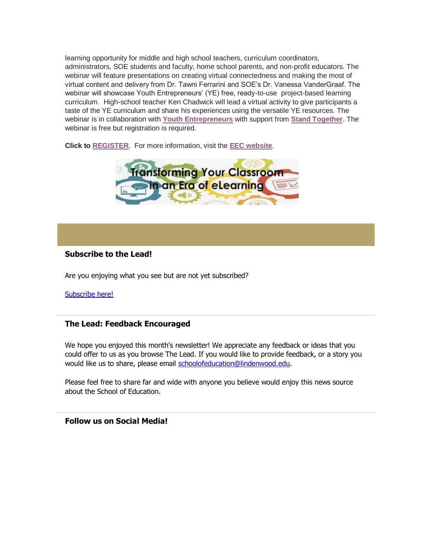learning opportunity for middle and high school teachers, curriculum coordinators, administrators, SOE students and faculty, home school parents, and non-profit educators. The webinar will feature presentations on creating virtual connectedness and making the most of virtual content and delivery from Dr. Tawni Ferrarini and SOE's Dr. Vanessa VanderGraaf. The webinar will showcase Youth Entrepreneurs' (YE) free, ready-to-use project-based learning curriculum. High-school teacher Ken Chadwick will lead a virtual activity to give participants a taste of the YE curriculum and share his experiences using the versatile YE resources. The webinar is in collaboration with **Youth [Entrepreneurs](https://hes32-ctp.trendmicro.com/wis/clicktime/v1/query?url=https%3a%2f%2fcustapp.marketvolt.com%2flink%2f7YfuwTIEuk%3fCM%3d1523774784%26X%3d70525052&umid=a7061249-63b6-4703-a150-ceb5a853ea13&auth=bc7ac43e330fa629f0cfb11786c85e83c10d06b8-3c1ff411fc8c42d5a81141072f9f586b9944c420)** with support from **Stand [Together](https://hes32-ctp.trendmicro.com/wis/clicktime/v1/query?url=https%3a%2f%2fcustapp.marketvolt.com%2flink%2fUnlyad3Lqg%3fCM%3d1523774784%26X%3d70525052&umid=a7061249-63b6-4703-a150-ceb5a853ea13&auth=bc7ac43e330fa629f0cfb11786c85e83c10d06b8-7ff553611732e645482858825fb8d05ed7f3b853)**. The webinar is free but registration is required.

**Click to [REGISTER](https://hes32-ctp.trendmicro.com/wis/clicktime/v1/query?url=https%3a%2f%2fcustapp.marketvolt.com%2flink%2fcHnH9ldgAC%3fCM%3d1523774784%26X%3d70525052&umid=a7061249-63b6-4703-a150-ceb5a853ea13&auth=bc7ac43e330fa629f0cfb11786c85e83c10d06b8-3818f2984395197e175267182334917b4f875642)**. For more information, visit the **EEC [website](https://hes32-ctp.trendmicro.com/wis/clicktime/v1/query?url=https%3a%2f%2fcustapp.marketvolt.com%2flink%2fgkVHfcFu7b%3fCM%3d1523774784%26X%3d70525052&umid=a7061249-63b6-4703-a150-ceb5a853ea13&auth=bc7ac43e330fa629f0cfb11786c85e83c10d06b8-287b858520d62cff9f2f1dc823d1aa9b78c23f42)**.



#### **Subscribe to the Lead!**

Are you enjoying what you see but are not yet subscribed?

[Subscribe here!](https://hes32-ctp.trendmicro.com/wis/clicktime/v1/query?url=https%3a%2f%2fcustapp.marketvolt.com%2flink%2fvBN49FUnhA%3fCM%3d1523774784%26X%3d70525052&umid=a7061249-63b6-4703-a150-ceb5a853ea13&auth=bc7ac43e330fa629f0cfb11786c85e83c10d06b8-a39c158017746b42ecab50ff65d976008cf47619)

#### **The Lead: Feedback Encouraged**

We hope you enjoyed this month's newsletter! We appreciate any feedback or ideas that you could offer to us as you browse The Lead. If you would like to provide feedback, or a story you would like us to share, please email [schoolofeducation@lindenwood.edu.](mailto:schoolofeducation@lindenwood.edu)

Please feel free to share far and wide with anyone you believe would enjoy this news source about the School of Education.

**Follow us on Social Media!**